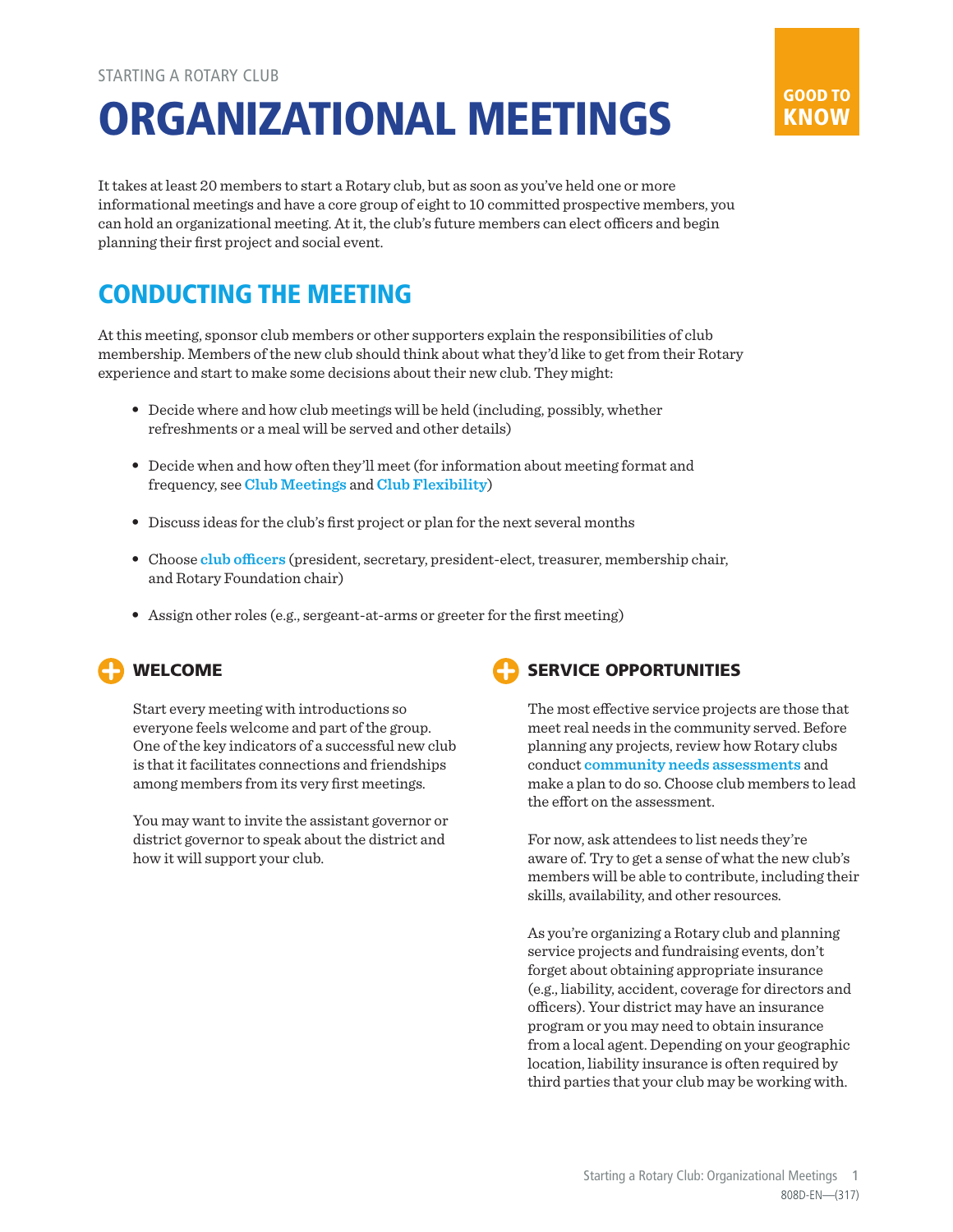# ORGANIZATIONAL MEETINGS

It takes at least 20 members to start a Rotary club, but as soon as you've held one or more informational meetings and have a core group of eight to 10 committed prospective members, you can hold an organizational meeting. At it, the club's future members can elect officers and begin planning their first project and social event.

## CONDUCTING THE MEETING

At this meeting, sponsor club members or other supporters explain the responsibilities of club membership. Members of the new club should think about what they'd like to get from their Rotary experience and start to make some decisions about their new club. They might:

- Decide where and how club meetings will be held (including, possibly, whether refreshments or a meal will be served and other details)
- Decide when and how often they'll meet (for information about meeting format and frequency, see **[Club Meetings](https://my.rotary.org/en/document/meeting-locations)** and **[Club Flexibility](http://www.rotary.org/clubflexibility)**)
- Discuss ideas for the club's first project or plan for the next several months
- Choose **[club officers](https://www.rotary.org/myrotary/en/learning-reference/learn-role/club-roles)** (president, secretary, president-elect, treasurer, membership chair, and Rotary Foundation chair)
- Assign other roles (e.g., sergeant-at-arms or greeter for the first meeting)

### WELCOME

Start every meeting with introductions so everyone feels welcome and part of the group. One of the key indicators of a successful new club is that it facilitates connections and friendships among members from its very first meetings.

You may want to invite the assistant governor or district governor to speak about the district and how it will support your club.



The most effective service projects are those that meet real needs in the community served. Before planning any projects, review how Rotary clubs conduct **[community needs assessments](https://www.rotary.org/myrotary/en/document/578)** and make a plan to do so. Choose club members to lead the effort on the assessment.

For now, ask attendees to list needs they're aware of. Try to get a sense of what the new club's members will be able to contribute, including their skills, availability, and other resources.

As you're organizing a Rotary club and planning service projects and fundraising events, don't forget about obtaining appropriate insurance (e.g., liability, accident, coverage for directors and officers). Your district may have an insurance program or you may need to obtain insurance from a local agent. Depending on your geographic location, liability insurance is often required by third parties that your club may be working with.